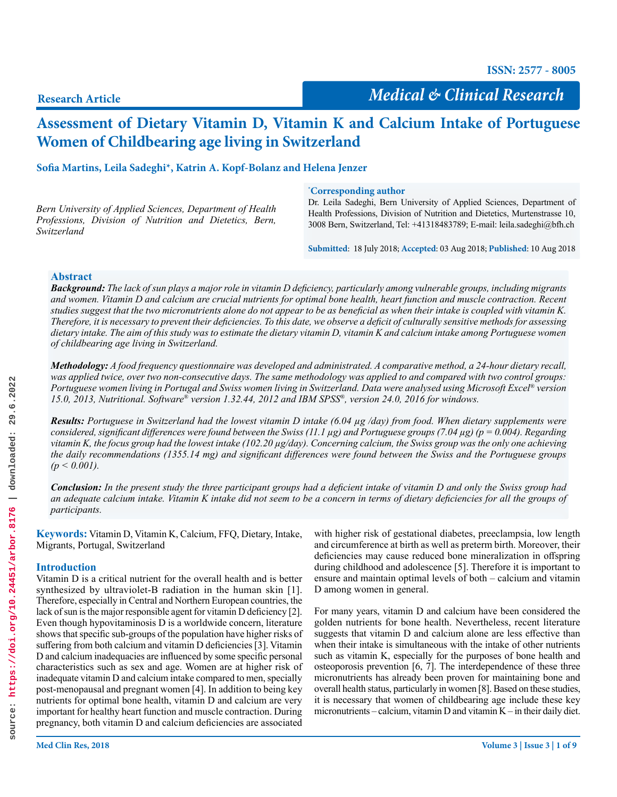**ISSN: 2577 - 8005**

**Research Article**

*Medical & Clinical Research*

# **Assessment of Dietary Vitamin D, Vitamin K and Calcium Intake of Portuguese Women of Childbearing age living in Switzerland**

**Sofia Martins, Leila Sadeghi\*, Katrin A. Kopf-Bolanz and Helena Jenzer**

*Bern University of Applied Sciences, Department of Health Professions, Division of Nutrition and Dietetics, Bern, Switzerland*

#### **\* Corresponding author**

Dr. Leila Sadeghi, Bern University of Applied Sciences, Department of Health Professions, Division of Nutrition and Dietetics, Murtenstrasse 10, 3008 Bern, Switzerland, Tel: +41318483789; E-mail: leila.sadeghi@bfh.ch

**Submitted**: 18 July 2018; **Accepted**: 03 Aug 2018; **Published**: 10 Aug 2018

## **Abstract**

*Background: The lack of sun plays a major role in vitamin D deficiency, particularly among vulnerable groups, including migrants and women. Vitamin D and calcium are crucial nutrients for optimal bone health, heart function and muscle contraction. Recent studies suggest that the two micronutrients alone do not appear to be as beneficial as when their intake is coupled with vitamin K. Therefore, it is necessary to prevent their deficiencies. To this date, we observe a deficit of culturally sensitive methods for assessing dietary intake. The aim of this study was to estimate the dietary vitamin D, vitamin K and calcium intake among Portuguese women of childbearing age living in Switzerland.* 

*Methodology: A food frequency questionnaire was developed and administrated. A comparative method, a 24-hour dietary recall, was applied twice, over two non-consecutive days. The same methodology was applied to and compared with two control groups: Portuguese women living in Portugal and Swiss women living in Switzerland. Data were analysed using Microsoft Excel® version 15.0, 2013, Nutritional. Software® version 1.32.44, 2012 and IBM SPSS®, version 24.0, 2016 for windows.*

*Results: Portuguese in Switzerland had the lowest vitamin D intake (6.04 µg /day) from food. When dietary supplements were considered, significant differences were found between the Swiss (11.1 µg) and Portuguese groups (7.04 µg) (p = 0.004). Regarding vitamin K, the focus group had the lowest intake (102.20 µg/day). Concerning calcium, the Swiss group was the only one achieving the daily recommendations (1355.14 mg) and significant differences were found between the Swiss and the Portuguese groups (p < 0.001).*

*Conclusion: In the present study the three participant groups had a deficient intake of vitamin D and only the Swiss group had an adequate calcium intake. Vitamin K intake did not seem to be a concern in terms of dietary deficiencies for all the groups of participants.*

**Keywords:** Vitamin D, Vitamin K, Calcium, FFQ, Dietary, Intake, Migrants, Portugal, Switzerland

# **Introduction**

Vitamin D is a critical nutrient for the overall health and is better synthesized by ultraviolet-B radiation in the human skin [1]. Therefore, especially in Central and Northern European countries, the lack of sun is the major responsible agent for vitamin D deficiency [2]. Even though hypovitaminosis D is a worldwide concern, literature shows that specific sub-groups of the population have higher risks of suffering from both calcium and vitamin D deficiencies [3]. Vitamin D and calcium inadequacies are influenced by some specific personal characteristics such as sex and age. Women are at higher risk of inadequate vitamin D and calcium intake compared to men, specially post-menopausal and pregnant women [4]. In addition to being key nutrients for optimal bone health, vitamin D and calcium are very important for healthy heart function and muscle contraction. During pregnancy, both vitamin D and calcium deficiencies are associated

with higher risk of gestational diabetes, preeclampsia, low length and circumference at birth as well as preterm birth. Moreover, their deficiencies may cause reduced bone mineralization in offspring during childhood and adolescence [5]. Therefore it is important to ensure and maintain optimal levels of both – calcium and vitamin D among women in general.

For many years, vitamin D and calcium have been considered the golden nutrients for bone health. Nevertheless, recent literature suggests that vitamin D and calcium alone are less effective than when their intake is simultaneous with the intake of other nutrients such as vitamin K, especially for the purposes of bone health and osteoporosis prevention [6, 7]. The interdependence of these three micronutrients has already been proven for maintaining bone and overall health status, particularly in women [8]. Based on these studies, it is necessary that women of childbearing age include these key micronutrients – calcium, vitamin D and vitamin K – in their daily diet.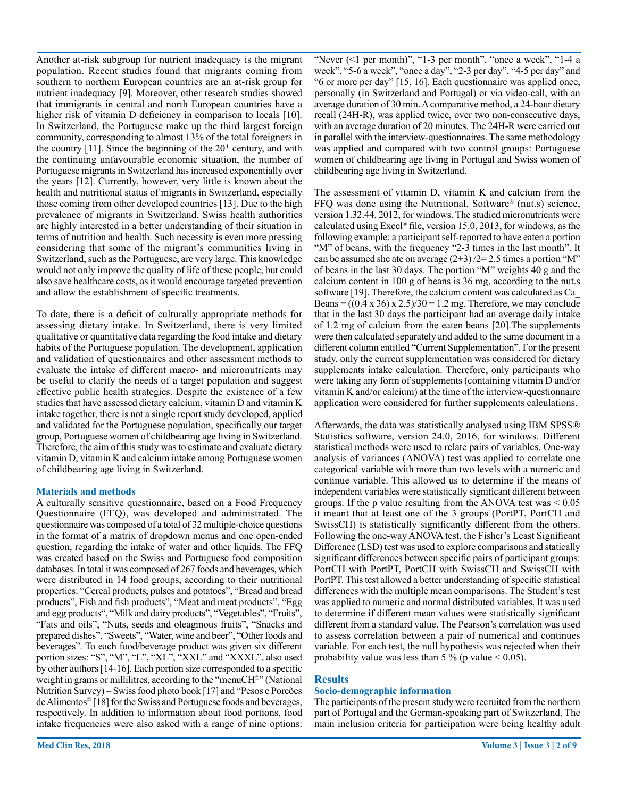Another at-risk subgroup for nutrient inadequacy is the migrant population. Recent studies found that migrants coming from southern to northern European countries are an at-risk group for nutrient inadequacy [9]. Moreover, other research studies showed that immigrants in central and north European countries have a higher risk of vitamin D deficiency in comparison to locals [10]. In Switzerland, the Portuguese make up the third largest foreign community, corresponding to almost 13% of the total foreigners in the country  $[11]$ . Since the beginning of the  $20<sup>th</sup>$  century, and with the continuing unfavourable economic situation, the number of Portuguese migrants in Switzerland has increased exponentially over the years [12]. Currently, however, very little is known about the health and nutritional status of migrants in Switzerland, especially those coming from other developed countries [13]. Due to the high prevalence of migrants in Switzerland, Swiss health authorities are highly interested in a better understanding of their situation in terms of nutrition and health. Such necessity is even more pressing considering that some of the migrant's communities living in Switzerland, such as the Portuguese, are very large. This knowledge would not only improve the quality of life of these people, but could also save healthcare costs, as it would encourage targeted prevention and allow the establishment of specific treatments.

To date, there is a deficit of culturally appropriate methods for assessing dietary intake. In Switzerland, there is very limited qualitative or quantitative data regarding the food intake and dietary habits of the Portuguese population. The development, application and validation of questionnaires and other assessment methods to evaluate the intake of different macro- and micronutrients may be useful to clarify the needs of a target population and suggest effective public health strategies. Despite the existence of a few studies that have assessed dietary calcium, vitamin D and vitamin K intake together, there is not a single report study developed, applied and validated for the Portuguese population, specifically our target group, Portuguese women of childbearing age living in Switzerland. Therefore, the aim of this study was to estimate and evaluate dietary vitamin D, vitamin K and calcium intake among Portuguese women of childbearing age living in Switzerland.

## **Materials and methods**

A culturally sensitive questionnaire, based on a Food Frequency Questionnaire (FFQ), was developed and administrated. The questionnaire was composed of a total of 32 multiple-choice questions in the format of a matrix of dropdown menus and one open-ended question, regarding the intake of water and other liquids. The FFQ was created based on the Swiss and Portuguese food composition databases. In total it was composed of 267 foods and beverages, which were distributed in 14 food groups, according to their nutritional properties: "Cereal products, pulses and potatoes", "Bread and bread products", Fish and fish products", "Meat and meat products", "Egg and egg products", "Milk and dairy products", "Vegetables", "Fruits", "Fats and oils", "Nuts, seeds and oleaginous fruits", "Snacks and prepared dishes", "Sweets", "Water, wine and beer", "Other foods and beverages". To each food/beverage product was given six different portion sizes: "S", "M", "L", "XL", "XXL" and "XXXL", also used by other authors [14-16]. Each portion size corresponded to a specific weight in grams or millilitres, according to the "menuCH<sup>©</sup>" (National Nutrition Survey) – Swiss food photo book [17] and "Pesos e Porcões de Alimentos© [18] for the Swiss and Portuguese foods and beverages, respectively. In addition to information about food portions, food intake frequencies were also asked with a range of nine options:

"Never (<1 per month)", "1-3 per month", "once a week", "1-4 a week", "5-6 a week", "once a day", "2-3 per day", "4-5 per day" and "6 or more per day" [15, 16]. Each questionnaire was applied once, personally (in Switzerland and Portugal) or via video-call, with an average duration of 30 min. A comparative method, a 24-hour dietary recall (24H-R), was applied twice, over two non-consecutive days, with an average duration of 20 minutes. The 24H-R were carried out in parallel with the interview-questionnaires. The same methodology was applied and compared with two control groups: Portuguese women of childbearing age living in Portugal and Swiss women of childbearing age living in Switzerland.

The assessment of vitamin D, vitamin K and calcium from the FFQ was done using the Nutritional. Software® (nut.s) science, version 1.32.44, 2012, for windows. The studied micronutrients were calculated using Excel® file, version 15.0, 2013, for windows, as the following example: a participant self-reported to have eaten a portion "M" of beans, with the frequency "2-3 times in the last month". It can be assumed she ate on average  $(2+3)/2=2.5$  times a portion "M" of beans in the last 30 days. The portion "M" weights 40 g and the calcium content in 100 g of beans is 36 mg, according to the nut.s software [19]. Therefore, the calcium content was calculated as Ca\_ Beans =  $((0.4 \times 36) \times 2.5)/30 = 1.2$  mg. Therefore, we may conclude that in the last 30 days the participant had an average daily intake of 1.2 mg of calcium from the eaten beans [20].The supplements were then calculated separately and added to the same document in a different column entitled "Current Supplementation". For the present study, only the current supplementation was considered for dietary supplements intake calculation. Therefore, only participants who were taking any form of supplements (containing vitamin D and/or vitamin K and/or calcium) at the time of the interview-questionnaire application were considered for further supplements calculations.

Afterwards, the data was statistically analysed using IBM SPSS® Statistics software, version 24.0, 2016, for windows. Different statistical methods were used to relate pairs of variables. One-way analysis of variances (ANOVA) test was applied to correlate one categorical variable with more than two levels with a numeric and continue variable. This allowed us to determine if the means of independent variables were statistically significant different between groups. If the p value resulting from the ANOVA test was  $\leq 0.05$ it meant that at least one of the 3 groups (PortPT, PortCH and SwissCH) is statistically significantly different from the others. Following the one-way ANOVA test, the Fisher's Least Significant Difference (LSD) test was used to explore comparisons and statically significant differences between specific pairs of participant groups: PortCH with PortPT, PortCH with SwissCH and SwissCH with PortPT. This test allowed a better understanding of specific statistical differences with the multiple mean comparisons. The Student's test was applied to numeric and normal distributed variables. It was used to determine if different mean values were statistically significant different from a standard value. The Pearson's correlation was used to assess correlation between a pair of numerical and continues variable. For each test, the null hypothesis was rejected when their probability value was less than 5 % (p value  $< 0.05$ ).

# **Results**

# **Socio-demographic information**

The participants of the present study were recruited from the northern part of Portugal and the German-speaking part of Switzerland. The main inclusion criteria for participation were being healthy adult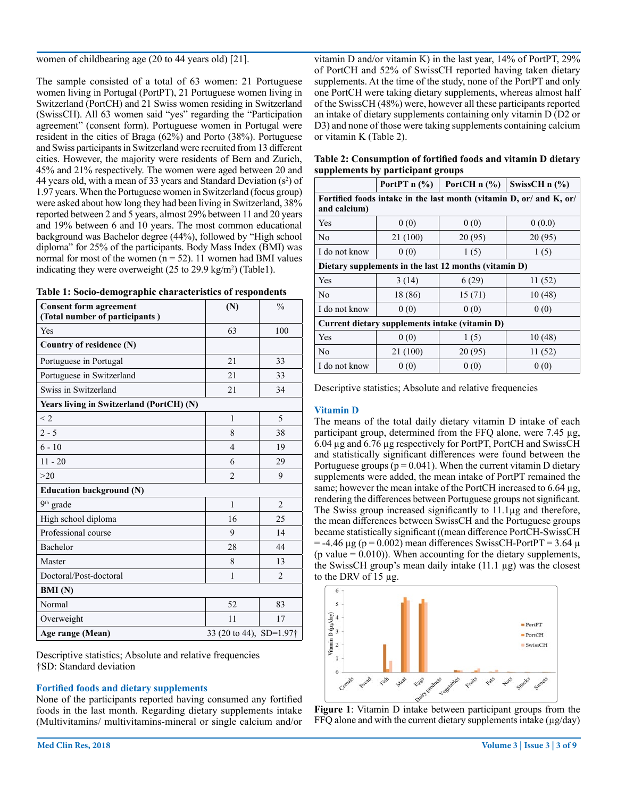women of childbearing age (20 to 44 years old) [21].

The sample consisted of a total of 63 women: 21 Portuguese women living in Portugal (PortPT), 21 Portuguese women living in Switzerland (PortCH) and 21 Swiss women residing in Switzerland (SwissCH). All 63 women said "yes" regarding the "Participation agreement" (consent form). Portuguese women in Portugal were resident in the cities of Braga (62%) and Porto (38%). Portuguese and Swiss participants in Switzerland were recruited from 13 different cities. However, the majority were residents of Bern and Zurich, 45% and 21% respectively. The women were aged between 20 and 44 years old, with a mean of 33 years and Standard Deviation  $(s^2)$  of 1.97 years. When the Portuguese women in Switzerland (focus group) were asked about how long they had been living in Switzerland, 38% reported between 2 and 5 years, almost 29% between 11 and 20 years and 19% between 6 and 10 years. The most common educational background was Bachelor degree (44%), followed by "High school diploma" for 25% of the participants. Body Mass Index (BMI) was normal for most of the women ( $n = 52$ ). 11 women had BMI values indicating they were overweight  $(25 \text{ to } 29.9 \text{ kg/m}^2)$  (Table1).

|  |  | Table 1: Socio-demographic characteristics of respondents |  |
|--|--|-----------------------------------------------------------|--|
|  |  |                                                           |  |

| <b>Consent form agreement</b><br>(Total number of participants) | (N)                     | $\frac{0}{0}$  |  |  |  |
|-----------------------------------------------------------------|-------------------------|----------------|--|--|--|
| Yes                                                             | 63                      | 100            |  |  |  |
| Country of residence (N)                                        |                         |                |  |  |  |
| Portuguese in Portugal                                          | 21                      | 33             |  |  |  |
| Portuguese in Switzerland                                       | 21                      | 33             |  |  |  |
| Swiss in Switzerland                                            | 21                      | 34             |  |  |  |
| Years living in Switzerland (PortCH) (N)                        |                         |                |  |  |  |
| $\leq$ 2                                                        | $\mathbf{1}$            | 5              |  |  |  |
| $2 - 5$                                                         | 8                       | 38             |  |  |  |
| $6 - 10$                                                        | $\overline{4}$          | 19             |  |  |  |
| $11 - 20$                                                       | 6                       | 29             |  |  |  |
| $>20$                                                           | $\overline{2}$          | 9              |  |  |  |
| <b>Education background (N)</b>                                 |                         |                |  |  |  |
| $9th$ grade                                                     | $\mathbf{1}$            | $\overline{2}$ |  |  |  |
| High school diploma                                             | 16                      | 25             |  |  |  |
| Professional course                                             | 9                       | 14             |  |  |  |
| Bachelor                                                        | 28                      | 44             |  |  |  |
| Master                                                          | 8                       | 13             |  |  |  |
| Doctoral/Post-doctoral                                          | 1                       | $\overline{2}$ |  |  |  |
| <b>BMI</b> (N)                                                  |                         |                |  |  |  |
| Normal                                                          | 52                      | 83             |  |  |  |
| Overweight                                                      | 11                      | 17             |  |  |  |
| Age range (Mean)                                                | 33 (20 to 44), SD=1.97† |                |  |  |  |

Descriptive statistics; Absolute and relative frequencies †SD: Standard deviation

## **Fortified foods and dietary supplements**

None of the participants reported having consumed any fortified foods in the last month. Regarding dietary supplements intake (Multivitamins/ multivitamins-mineral or single calcium and/or vitamin D and/or vitamin K) in the last year, 14% of PortPT, 29% of PortCH and 52% of SwissCH reported having taken dietary supplements. At the time of the study, none of the PortPT and only one PortCH were taking dietary supplements, whereas almost half of the SwissCH (48%) were, however all these participants reported an intake of dietary supplements containing only vitamin D (D2 or D3) and none of those were taking supplements containing calcium or vitamin K (Table 2).

**Table 2: Consumption of fortified foods and vitamin D dietary supplements by participant groups**

|                                                                                     | PortPT $n$ (%) | PortCH $n$ (%) | SwissCH $n$ (%) |  |  |  |
|-------------------------------------------------------------------------------------|----------------|----------------|-----------------|--|--|--|
| Fortified foods intake in the last month (vitamin D, or/ and K, or/<br>and calcium) |                |                |                 |  |  |  |
| Yes                                                                                 | 0(0)           | 0(0)           | 0(0.0)          |  |  |  |
| No                                                                                  | 21 (100)       | 20(95)         | 20(95)          |  |  |  |
| I do not know                                                                       | 0(0)           | 1(5)           | 1(5)            |  |  |  |
| Dietary supplements in the last 12 months (vitamin D)                               |                |                |                 |  |  |  |
| Yes                                                                                 | 3(14)          | 6(29)          | 11(52)          |  |  |  |
| No                                                                                  | 18 (86)        | 15(71)         | 10(48)          |  |  |  |
| I do not know                                                                       | 0(0)           | 0(0)           | 0(0)            |  |  |  |
| Current dietary supplements intake (vitamin D)                                      |                |                |                 |  |  |  |
| Yes                                                                                 | 0(0)           | 1(5)           | 10(48)          |  |  |  |
| No                                                                                  | 21 (100)       | 20(95)         | 11(52)          |  |  |  |
| I do not know                                                                       | 0(0)           | 0(0)           | 0(0)            |  |  |  |

Descriptive statistics; Absolute and relative frequencies

## **Vitamin D**

The means of the total daily dietary vitamin D intake of each participant group, determined from the FFQ alone, were 7.45 µg, 6.04 µg and 6.76 µg respectively for PortPT, PortCH and SwissCH and statistically significant differences were found between the Portuguese groups ( $p = 0.041$ ). When the current vitamin D dietary supplements were added, the mean intake of PortPT remained the same; however the mean intake of the PortCH increased to 6.64 µg, rendering the differences between Portuguese groups not significant. The Swiss group increased significantly to 11.1µg and therefore, the mean differences between SwissCH and the Portuguese groups became statistically significant ((mean difference PortCH-SwissCH  $=$  -4.46  $\mu$ g (p = 0.002) mean differences SwissCH-PortPT = 3.64  $\mu$  $(p \text{ value} = 0.010)$ ). When accounting for the dietary supplements, the SwissCH group's mean daily intake (11.1 µg) was the closest to the DRV of 15 µg.



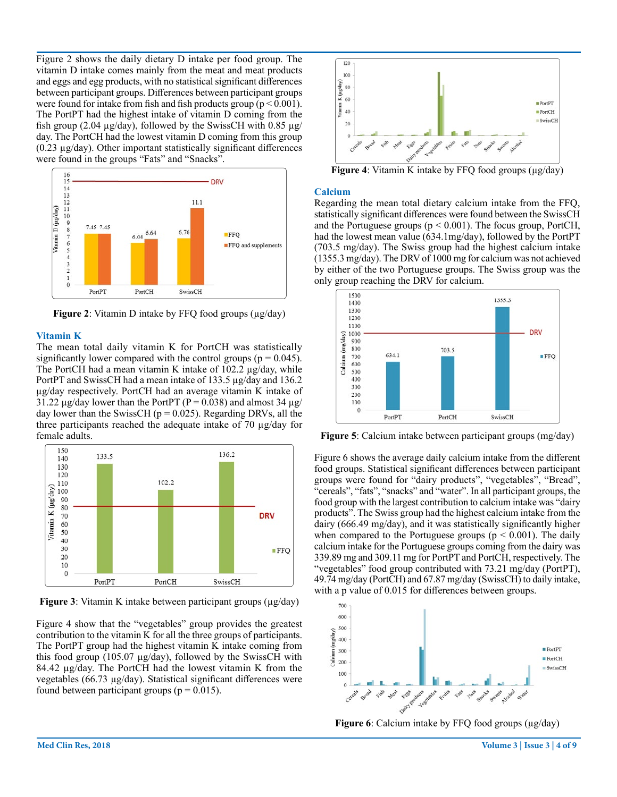Figure 2 shows the daily dietary D intake per food group. The vitamin D intake comes mainly from the meat and meat products and eggs and egg products, with no statistical significant differences between participant groups. Differences between participant groups were found for intake from fish and fish products group ( $p < 0.001$ ). The PortPT had the highest intake of vitamin D coming from the fish group (2.04  $\mu$ g/day), followed by the SwissCH with 0.85  $\mu$ g/ day. The PortCH had the lowest vitamin D coming from this group  $(0.23 \mu g/day)$ . Other important statistically significant differences were found in the groups "Fats" and "Snacks".



**Figure 2**: Vitamin D intake by FFQ food groups ( $\mu$ g/day)

#### **Vitamin K**

The mean total daily vitamin K for PortCH was statistically significantly lower compared with the control groups ( $p = 0.045$ ). The PortCH had a mean vitamin K intake of 102.2 µg/day, while PortPT and SwissCH had a mean intake of 133.5 µg/day and 136.2 µg/day respectively. PortCH had an average vitamin K intake of 31.22  $\mu$ g/day lower than the PortPT (P = 0.038) and almost 34  $\mu$ g/ day lower than the SwissCH ( $p = 0.025$ ). Regarding DRVs, all the three participants reached the adequate intake of 70 µg/day for female adults.



**Figure 3**: Vitamin K intake between participant groups (µg/day)

Figure 4 show that the "vegetables" group provides the greatest contribution to the vitamin K for all the three groups of participants. The PortPT group had the highest vitamin K intake coming from this food group (105.07 µg/day), followed by the SwissCH with 84.42 µg/day. The PortCH had the lowest vitamin K from the vegetables (66.73 µg/day). Statistical significant differences were found between participant groups ( $p = 0.015$ ).



**Figure 4**: Vitamin K intake by FFQ food groups (µg/day)

#### **Calcium**

Regarding the mean total dietary calcium intake from the FFQ, statistically significant differences were found between the SwissCH and the Portuguese groups ( $p < 0.001$ ). The focus group, PortCH, had the lowest mean value (634.1mg/day), followed by the PortPT (703.5 mg/day). The Swiss group had the highest calcium intake (1355.3 mg/day). The DRV of 1000 mg for calcium was not achieved by either of the two Portuguese groups. The Swiss group was the only group reaching the DRV for calcium.



**Figure 5**: Calcium intake between participant groups (mg/day)

Figure 6 shows the average daily calcium intake from the different food groups. Statistical significant differences between participant groups were found for "dairy products", "vegetables", "Bread", "cereals", "fats", "snacks" and "water". In all participant groups, the food group with the largest contribution to calcium intake was "dairy products". The Swiss group had the highest calcium intake from the dairy (666.49 mg/day), and it was statistically significantly higher when compared to the Portuguese groups ( $p < 0.001$ ). The daily calcium intake for the Portuguese groups coming from the dairy was 339.89 mg and 309.11 mg for PortPT and PortCH, respectively. The "vegetables" food group contributed with 73.21 mg/day (PortPT), 49.74 mg/day (PortCH) and 67.87 mg/day (SwissCH) to daily intake, with a p value of 0.015 for differences between groups.



**Figure 6**: Calcium intake by FFQ food groups (µg/day)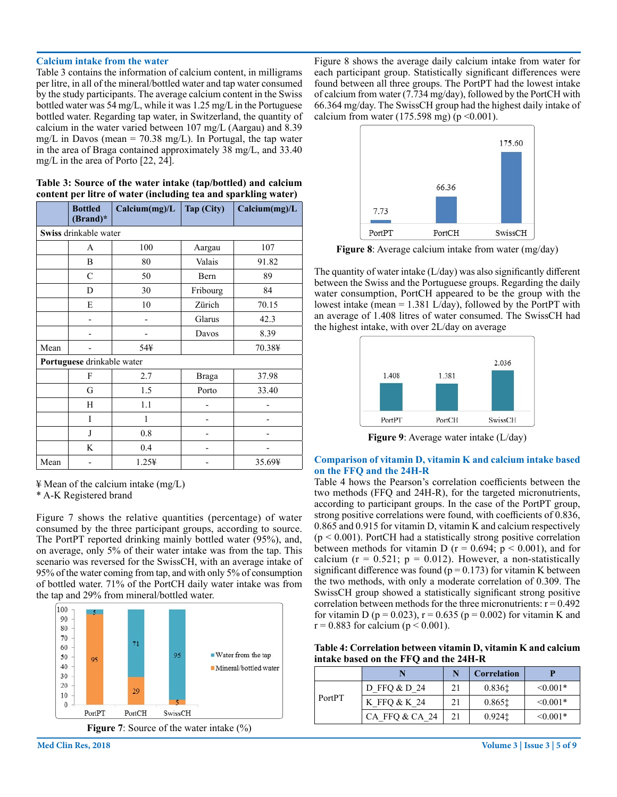#### **Calcium intake from the water**

Table 3 contains the information of calcium content, in milligrams per litre, in all of the mineral/bottled water and tap water consumed by the study participants. The average calcium content in the Swiss bottled water was 54 mg/L, while it was 1.25 mg/L in the Portuguese bottled water. Regarding tap water, in Switzerland, the quantity of calcium in the water varied between 107 mg/L (Aargau) and 8.39 mg/L in Davos (mean =  $70.38$  mg/L). In Portugal, the tap water in the area of Braga contained approximately 38 mg/L, and 33.40 mg/L in the area of Porto [22, 24].

| Table 3: Source of the water intake (tap/bottled) and calcium  |  |
|----------------------------------------------------------------|--|
| content per litre of water (including tea and sparkling water) |  |

|      | <b>Bottled</b><br>(Brand)* | Calcium(mg)/L | Tap (City) | Calcium(mg)/L |  |  |  |
|------|----------------------------|---------------|------------|---------------|--|--|--|
|      | Swiss drinkable water      |               |            |               |  |  |  |
|      | A                          | 100           | Aargau     | 107           |  |  |  |
|      | B                          | 80            | Valais     | 91.82         |  |  |  |
|      | $\mathbf C$                | 50            | Bern       | 89            |  |  |  |
|      | D                          | 30            | Fribourg   | 84            |  |  |  |
|      | E                          | 10            | Zürich     | 70.15         |  |  |  |
|      |                            |               | Glarus     | 42.3          |  |  |  |
|      |                            |               | Davos      | 8.39          |  |  |  |
| Mean |                            | 54¥           |            | 70.38¥        |  |  |  |
|      | Portuguese drinkable water |               |            |               |  |  |  |
|      | F                          | 2.7           | Braga      | 37.98         |  |  |  |
|      | G                          | 1.5           | Porto      | 33.40         |  |  |  |
|      | H                          | 1.1           |            |               |  |  |  |
|      | I                          | 1             |            |               |  |  |  |
|      | J                          | 0.8           |            |               |  |  |  |
|      | K                          | 0.4           |            |               |  |  |  |
| Mean |                            | 1.254         |            | 35.69¥        |  |  |  |

<sup>¥</sup> Mean of the calcium intake (mg/L) \* A-K Registered brand

Figure 7 shows the relative quantities (percentage) of water consumed by the three participant groups, according to source. The PortPT reported drinking mainly bottled water (95%), and, on average, only 5% of their water intake was from the tap. This scenario was reversed for the SwissCH, with an average intake of 95% of the water coming from tap, and with only 5% of consumption of bottled water. 71% of the PortCH daily water intake was from the tap and 29% from mineral/bottled water.





Figure 8 shows the average daily calcium intake from water for each participant group. Statistically significant differences were found between all three groups. The PortPT had the lowest intake of calcium from water (7.734 mg/day), followed by the PortCH with 66.364 mg/day. The SwissCH group had the highest daily intake of calcium from water (175.598 mg) ( $p \le 0.001$ ).



**Figure 8**: Average calcium intake from water (mg/day)

The quantity of water intake (L/day) was also significantly different between the Swiss and the Portuguese groups. Regarding the daily water consumption, PortCH appeared to be the group with the lowest intake (mean = 1.381 L/day), followed by the PortPT with an average of 1.408 litres of water consumed. The SwissCH had the highest intake, with over 2L/day on average



**Figure 9**: Average water intake (L/day)

#### **Comparison of vitamin D, vitamin K and calcium intake based on the FFQ and the 24H-R**

Table 4 hows the Pearson's correlation coefficients between the two methods (FFQ and 24H-R), for the targeted micronutrients, according to participant groups. In the case of the PortPT group, strong positive correlations were found, with coefficients of 0.836, 0.865 and 0.915 for vitamin D, vitamin K and calcium respectively  $(p < 0.001)$ . PortCH had a statistically strong positive correlation between methods for vitamin D ( $r = 0.694$ ;  $p < 0.001$ ), and for calcium ( $r = 0.521$ ;  $p = 0.012$ ). However, a non-statistically significant difference was found ( $p = 0.173$ ) for vitamin K between the two methods, with only a moderate correlation of 0.309. The SwissCH group showed a statistically significant strong positive correlation between methods for the three micronutrients:  $r = 0.492$ for vitamin D ( $p = 0.023$ ),  $r = 0.635$  ( $p = 0.002$ ) for vitamin K and  $r = 0.883$  for calcium ( $p < 0.001$ ).

**Table 4: Correlation between vitamin D, vitamin K and calcium intake based on the FFQ and the 24H-R**

|        |                | N  | <b>Correlation</b> |               |
|--------|----------------|----|--------------------|---------------|
|        | D FFO & D 24   | 21 | 0.8361             | $\leq 0.001*$ |
| PortPT | K FFO & K 24   | 21 | 0.8651             | $\leq 0.001*$ |
|        | CA FFQ & CA 24 | 21 | $0.924$ t          | $\leq 0.001*$ |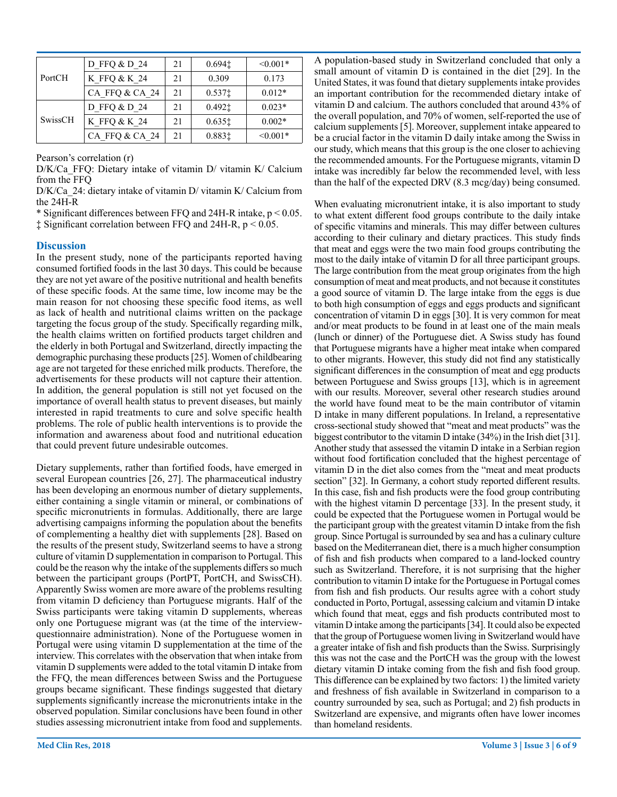| PortCH  | D FFQ & D 24   | 21 | 0.694 <sub>1</sub> | $< 0.001*$    |
|---------|----------------|----|--------------------|---------------|
|         | K FFQ & K 24   | 21 | 0.309              | 0.173         |
|         | CA FFQ & CA 24 | 21 | $0.537$ ‡          | $0.012*$      |
|         | D FFO & D 24   | 21 | $0.492$ $\pm$      | $0.023*$      |
| SwissCH | K FFO & K 24   | 21 | 0.6351             | $0.002*$      |
|         | CA FFQ & CA 24 | 21 | 0.883‡             | $\leq 0.001*$ |

Pearson's correlation (r)

D/K/Ca\_FFQ: Dietary intake of vitamin D/ vitamin K/ Calcium from the FFQ

D/K/Ca 24: dietary intake of vitamin D/ vitamin K/ Calcium from the 24H-R

\* Significant differences between FFQ and 24H-R intake, p < 0.05.

‡ Significant correlation between FFQ and 24H-R, p < 0.05.

#### **Discussion**

In the present study, none of the participants reported having consumed fortified foods in the last 30 days. This could be because they are not yet aware of the positive nutritional and health benefits of these specific foods. At the same time, low income may be the main reason for not choosing these specific food items, as well as lack of health and nutritional claims written on the package targeting the focus group of the study. Specifically regarding milk, the health claims written on fortified products target children and the elderly in both Portugal and Switzerland, directly impacting the demographic purchasing these products [25]. Women of childbearing age are not targeted for these enriched milk products. Therefore, the advertisements for these products will not capture their attention. In addition, the general population is still not yet focused on the importance of overall health status to prevent diseases, but mainly interested in rapid treatments to cure and solve specific health problems. The role of public health interventions is to provide the information and awareness about food and nutritional education that could prevent future undesirable outcomes.

Dietary supplements, rather than fortified foods, have emerged in several European countries [26, 27]. The pharmaceutical industry has been developing an enormous number of dietary supplements, either containing a single vitamin or mineral, or combinations of specific micronutrients in formulas. Additionally, there are large advertising campaigns informing the population about the benefits of complementing a healthy diet with supplements [28]. Based on the results of the present study, Switzerland seems to have a strong culture of vitamin D supplementation in comparison to Portugal. This could be the reason why the intake of the supplements differs so much between the participant groups (PortPT, PortCH, and SwissCH). Apparently Swiss women are more aware of the problems resulting from vitamin D deficiency than Portuguese migrants. Half of the Swiss participants were taking vitamin D supplements, whereas only one Portuguese migrant was (at the time of the interviewquestionnaire administration). None of the Portuguese women in Portugal were using vitamin D supplementation at the time of the interview. This correlates with the observation that when intake from vitamin D supplements were added to the total vitamin D intake from the FFQ, the mean differences between Swiss and the Portuguese groups became significant. These findings suggested that dietary supplements significantly increase the micronutrients intake in the observed population. Similar conclusions have been found in other studies assessing micronutrient intake from food and supplements.

A population-based study in Switzerland concluded that only a small amount of vitamin D is contained in the diet [29]. In the United States, it was found that dietary supplements intake provides an important contribution for the recommended dietary intake of vitamin D and calcium. The authors concluded that around 43% of the overall population, and 70% of women, self-reported the use of calcium supplements [5]. Moreover, supplement intake appeared to be a crucial factor in the vitamin D daily intake among the Swiss in our study, which means that this group is the one closer to achieving the recommended amounts. For the Portuguese migrants, vitamin D intake was incredibly far below the recommended level, with less than the half of the expected DRV (8.3 mcg/day) being consumed.

When evaluating micronutrient intake, it is also important to study to what extent different food groups contribute to the daily intake of specific vitamins and minerals. This may differ between cultures according to their culinary and dietary practices. This study finds that meat and eggs were the two main food groups contributing the most to the daily intake of vitamin D for all three participant groups. The large contribution from the meat group originates from the high consumption of meat and meat products, and not because it constitutes a good source of vitamin D. The large intake from the eggs is due to both high consumption of eggs and eggs products and significant concentration of vitamin D in eggs [30]. It is very common for meat and/or meat products to be found in at least one of the main meals (lunch or dinner) of the Portuguese diet. A Swiss study has found that Portuguese migrants have a higher meat intake when compared to other migrants. However, this study did not find any statistically significant differences in the consumption of meat and egg products between Portuguese and Swiss groups [13], which is in agreement with our results. Moreover, several other research studies around the world have found meat to be the main contributor of vitamin D intake in many different populations. In Ireland, a representative cross-sectional study showed that "meat and meat products" was the biggest contributor to the vitamin D intake (34%) in the Irish diet [31]. Another study that assessed the vitamin D intake in a Serbian region without food fortification concluded that the highest percentage of vitamin D in the diet also comes from the "meat and meat products section" [32]. In Germany, a cohort study reported different results. In this case, fish and fish products were the food group contributing with the highest vitamin D percentage [33]. In the present study, it could be expected that the Portuguese women in Portugal would be the participant group with the greatest vitamin D intake from the fish group. Since Portugal is surrounded by sea and has a culinary culture based on the Mediterranean diet, there is a much higher consumption of fish and fish products when compared to a land-locked country such as Switzerland. Therefore, it is not surprising that the higher contribution to vitamin D intake for the Portuguese in Portugal comes from fish and fish products. Our results agree with a cohort study conducted in Porto, Portugal, assessing calcium and vitamin D intake which found that meat, eggs and fish products contributed most to vitamin D intake among the participants [34]. It could also be expected that the group of Portuguese women living in Switzerland would have a greater intake of fish and fish products than the Swiss. Surprisingly this was not the case and the PortCH was the group with the lowest dietary vitamin D intake coming from the fish and fish food group. This difference can be explained by two factors: 1) the limited variety and freshness of fish available in Switzerland in comparison to a country surrounded by sea, such as Portugal; and 2) fish products in Switzerland are expensive, and migrants often have lower incomes than homeland residents.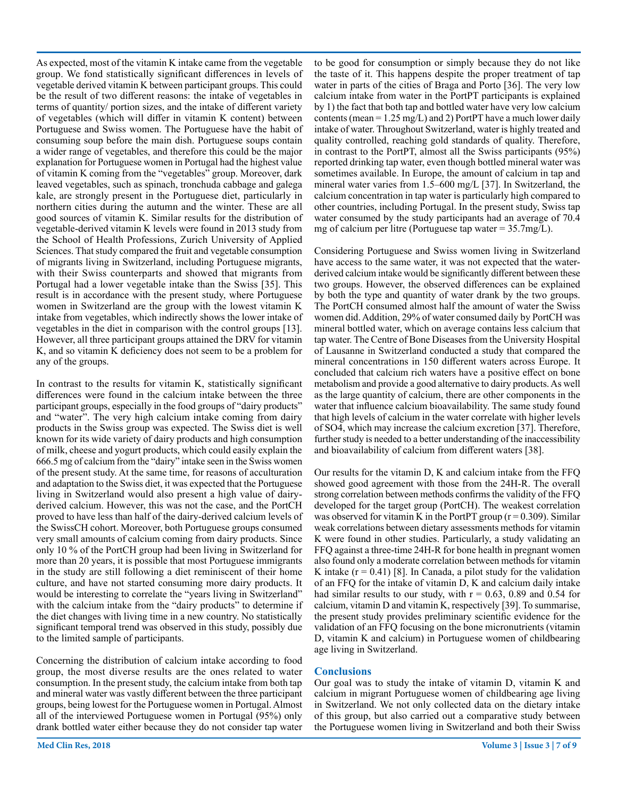As expected, most of the vitamin K intake came from the vegetable group. We fond statistically significant differences in levels of vegetable derived vitamin K between participant groups. This could be the result of two different reasons: the intake of vegetables in terms of quantity/ portion sizes, and the intake of different variety of vegetables (which will differ in vitamin K content) between Portuguese and Swiss women. The Portuguese have the habit of consuming soup before the main dish. Portuguese soups contain a wider range of vegetables, and therefore this could be the major explanation for Portuguese women in Portugal had the highest value of vitamin K coming from the "vegetables" group. Moreover, dark leaved vegetables, such as spinach, tronchuda cabbage and galega kale, are strongly present in the Portuguese diet, particularly in northern cities during the autumn and the winter. These are all good sources of vitamin K. Similar results for the distribution of vegetable-derived vitamin K levels were found in 2013 study from the School of Health Professions, Zurich University of Applied Sciences. That study compared the fruit and vegetable consumption of migrants living in Switzerland, including Portuguese migrants, with their Swiss counterparts and showed that migrants from Portugal had a lower vegetable intake than the Swiss [35]. This result is in accordance with the present study, where Portuguese women in Switzerland are the group with the lowest vitamin K intake from vegetables, which indirectly shows the lower intake of vegetables in the diet in comparison with the control groups [13]. However, all three participant groups attained the DRV for vitamin K, and so vitamin K deficiency does not seem to be a problem for any of the groups.

In contrast to the results for vitamin K, statistically significant differences were found in the calcium intake between the three participant groups, especially in the food groups of "dairy products" and "water". The very high calcium intake coming from dairy products in the Swiss group was expected. The Swiss diet is well known for its wide variety of dairy products and high consumption of milk, cheese and yogurt products, which could easily explain the 666.5 mg of calcium from the "dairy" intake seen in the Swiss women of the present study. At the same time, for reasons of acculturation and adaptation to the Swiss diet, it was expected that the Portuguese living in Switzerland would also present a high value of dairyderived calcium. However, this was not the case, and the PortCH proved to have less than half of the dairy-derived calcium levels of the SwissCH cohort. Moreover, both Portuguese groups consumed very small amounts of calcium coming from dairy products. Since only 10 % of the PortCH group had been living in Switzerland for more than 20 years, it is possible that most Portuguese immigrants in the study are still following a diet reminiscent of their home culture, and have not started consuming more dairy products. It would be interesting to correlate the "years living in Switzerland" with the calcium intake from the "dairy products" to determine if the diet changes with living time in a new country. No statistically significant temporal trend was observed in this study, possibly due to the limited sample of participants.

Concerning the distribution of calcium intake according to food group, the most diverse results are the ones related to water consumption. In the present study, the calcium intake from both tap and mineral water was vastly different between the three participant groups, being lowest for the Portuguese women in Portugal. Almost all of the interviewed Portuguese women in Portugal (95%) only drank bottled water either because they do not consider tap water

to be good for consumption or simply because they do not like the taste of it. This happens despite the proper treatment of tap water in parts of the cities of Braga and Porto [36]. The very low calcium intake from water in the PortPT participants is explained by 1) the fact that both tap and bottled water have very low calcium contents (mean =  $1.25 \text{ mg/L}$ ) and 2) PortPT have a much lower daily intake of water. Throughout Switzerland, water is highly treated and quality controlled, reaching gold standards of quality. Therefore, in contrast to the PortPT, almost all the Swiss participants (95%) reported drinking tap water, even though bottled mineral water was sometimes available. In Europe, the amount of calcium in tap and mineral water varies from 1.5–600 mg/L [37]. In Switzerland, the calcium concentration in tap water is particularly high compared to other countries, including Portugal. In the present study, Swiss tap water consumed by the study participants had an average of 70.4 mg of calcium per litre (Portuguese tap water  $= 35.7 \text{mg/L}$ ).

Considering Portuguese and Swiss women living in Switzerland have access to the same water, it was not expected that the waterderived calcium intake would be significantly different between these two groups. However, the observed differences can be explained by both the type and quantity of water drank by the two groups. The PortCH consumed almost half the amount of water the Swiss women did. Addition, 29% of water consumed daily by PortCH was mineral bottled water, which on average contains less calcium that tap water. The Centre of Bone Diseases from the University Hospital of Lausanne in Switzerland conducted a study that compared the mineral concentrations in 150 different waters across Europe. It concluded that calcium rich waters have a positive effect on bone metabolism and provide a good alternative to dairy products. As well as the large quantity of calcium, there are other components in the water that influence calcium bioavailability. The same study found that high levels of calcium in the water correlate with higher levels of SO4, which may increase the calcium excretion [37]. Therefore, further study is needed to a better understanding of the inaccessibility and bioavailability of calcium from different waters [38].

Our results for the vitamin D, K and calcium intake from the FFQ showed good agreement with those from the 24H-R. The overall strong correlation between methods confirms the validity of the FFQ developed for the target group (PortCH). The weakest correlation was observed for vitamin K in the PortPT group  $(r = 0.309)$ . Similar weak correlations between dietary assessments methods for vitamin K were found in other studies. Particularly, a study validating an FFQ against a three-time 24H-R for bone health in pregnant women also found only a moderate correlation between methods for vitamin K intake  $(r = 0.41)$  [8]. In Canada, a pilot study for the validation of an FFQ for the intake of vitamin D, K and calcium daily intake had similar results to our study, with  $r = 0.63$ , 0.89 and 0.54 for calcium, vitamin D and vitamin K, respectively [39]. To summarise, the present study provides preliminary scientific evidence for the validation of an FFQ focusing on the bone micronutrients (vitamin D, vitamin K and calcium) in Portuguese women of childbearing age living in Switzerland.

## **Conclusions**

Our goal was to study the intake of vitamin D, vitamin K and calcium in migrant Portuguese women of childbearing age living in Switzerland. We not only collected data on the dietary intake of this group, but also carried out a comparative study between the Portuguese women living in Switzerland and both their Swiss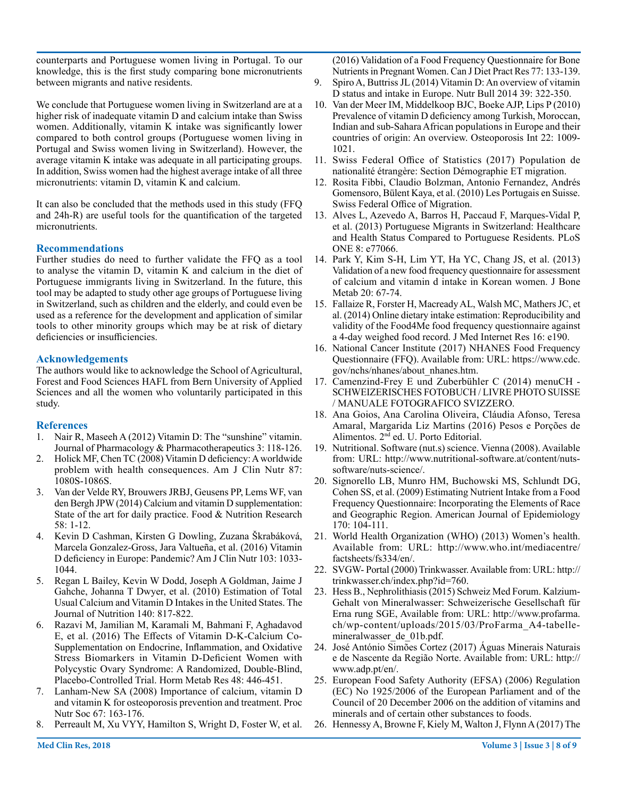counterparts and Portuguese women living in Portugal. To our knowledge, this is the first study comparing bone micronutrients between migrants and native residents.

We conclude that Portuguese women living in Switzerland are at a higher risk of inadequate vitamin D and calcium intake than Swiss women. Additionally, vitamin K intake was significantly lower compared to both control groups (Portuguese women living in Portugal and Swiss women living in Switzerland). However, the average vitamin K intake was adequate in all participating groups. In addition, Swiss women had the highest average intake of all three micronutrients: vitamin D, vitamin K and calcium.

It can also be concluded that the methods used in this study (FFQ and 24h-R) are useful tools for the quantification of the targeted micronutrients.

## **Recommendations**

Further studies do need to further validate the FFQ as a tool to analyse the vitamin D, vitamin K and calcium in the diet of Portuguese immigrants living in Switzerland. In the future, this tool may be adapted to study other age groups of Portuguese living in Switzerland, such as children and the elderly, and could even be used as a reference for the development and application of similar tools to other minority groups which may be at risk of dietary deficiencies or insufficiencies.

## **Acknowledgements**

The authors would like to acknowledge the School of Agricultural, Forest and Food Sciences HAFL from Bern University of Applied Sciences and all the women who voluntarily participated in this study.

## **References**

- 1. Nair R, Maseeh A (2012) Vitamin D: The "sunshine" vitamin. Journal of Pharmacology & Pharmacotherapeutics 3: 118-126.
- 2. Holick MF, Chen TC (2008) Vitamin D deficiency: A worldwide problem with health consequences. Am J Clin Nutr 87: 1080S-1086S.
- 3. Van der Velde RY, Brouwers JRBJ, Geusens PP, Lems WF, van den Bergh JPW (2014) Calcium and vitamin D supplementation: State of the art for daily practice. Food & Nutrition Research 58: 1-12.
- 4. Kevin D Cashman, Kirsten G Dowling, Zuzana Škrabáková, Marcela Gonzalez-Gross, Jara Valtueña, et al. (2016) Vitamin D deficiency in Europe: Pandemic? Am J Clin Nutr 103: 1033- 1044.
- 5. Regan L Bailey, Kevin W Dodd, Joseph A Goldman, Jaime J Gahche, Johanna T Dwyer, et al. (2010) Estimation of Total Usual Calcium and Vitamin D Intakes in the United States. The Journal of Nutrition 140: 817-822.
- 6. Razavi M, Jamilian M, Karamali M, Bahmani F, Aghadavod E, et al. (2016) The Effects of Vitamin D-K-Calcium Co-Supplementation on Endocrine, Inflammation, and Oxidative Stress Biomarkers in Vitamin D-Deficient Women with Polycystic Ovary Syndrome: A Randomized, Double-Blind, Placebo-Controlled Trial. Horm Metab Res 48: 446-451.
- 7. Lanham-New SA (2008) Importance of calcium, vitamin D and vitamin K for osteoporosis prevention and treatment. Proc Nutr Soc 67: 163-176.
- 8. Perreault M, Xu VYY, Hamilton S, Wright D, Foster W, et al.

(2016) Validation of a Food Frequency Questionnaire for Bone Nutrients in Pregnant Women. Can J Diet Pract Res 77: 133-139.

- 9. Spiro A, Buttriss JL (2014) Vitamin D: An overview of vitamin D status and intake in Europe. Nutr Bull 2014 39: 322-350.
- 10. Van der Meer IM, Middelkoop BJC, Boeke AJP, Lips P (2010) Prevalence of vitamin D deficiency among Turkish, Moroccan, Indian and sub-Sahara African populations in Europe and their countries of origin: An overview. Osteoporosis Int 22: 1009- 1021.
- 11. Swiss Federal Office of Statistics (2017) Population de nationalité étrangère: Section Démographie ET migration.
- 12. Rosita Fibbi, Claudio Bolzman, Antonio Fernandez, Andrés Gomensoro, Bülent Kaya, et al. (2010) Les Portugais en Suisse. Swiss Federal Office of Migration.
- 13. Alves L, Azevedo A, Barros H, Paccaud F, Marques-Vidal P, et al. (2013) Portuguese Migrants in Switzerland: Healthcare and Health Status Compared to Portuguese Residents. PLoS ONE 8: e77066.
- 14. Park Y, Kim S-H, Lim YT, Ha YC, Chang JS, et al. (2013) Validation of a new food frequency questionnaire for assessment of calcium and vitamin d intake in Korean women. J Bone Metab 20: 67-74.
- 15. Fallaize R, Forster H, Macready AL, Walsh MC, Mathers JC, et al. (2014) Online dietary intake estimation: Reproducibility and validity of the Food4Me food frequency questionnaire against a 4-day weighed food record. J Med Internet Res 16: e190.
- 16. National Cancer Institute (2017) NHANES Food Frequency Questionnaire (FFQ). Available from: URL: https://www.cdc. gov/nchs/nhanes/about\_nhanes.htm.
- 17. Camenzind-Frey E und Zuberbühler C (2014) menuCH SCHWEIZERISCHES FOTOBUCH / LIVRE PHOTO SUISSE / MANUALE FOTOGRAFICO SVIZZERO.
- 18. Ana Goios, Ana Carolina Oliveira, Cláudia Afonso, Teresa Amaral, Margarida Liz Martins (2016) Pesos e Porções de Alimentos. 2nd ed. U. Porto Editorial.
- 19. Nutritional. Software (nut.s) science. Vienna (2008). Available from: URL: http://www.nutritional-software.at/content/nutssoftware/nuts-science/.
- 20. Signorello LB, Munro HM, Buchowski MS, Schlundt DG, Cohen SS, et al. (2009) Estimating Nutrient Intake from a Food Frequency Questionnaire: Incorporating the Elements of Race and Geographic Region. American Journal of Epidemiology 170: 104-111.
- 21. World Health Organization (WHO) (2013) Women's health. Available from: URL: http://www.who.int/mediacentre/ factsheets/fs334/en/.
- 22. SVGW- Portal (2000) Trinkwasser. Available from: URL: http:// trinkwasser.ch/index.php?id=760.
- 23. Hess B., Nephrolithiasis (2015) Schweiz Med Forum. Kalzium-Gehalt von Mineralwasser: Schweizerische Gesellschaft für Erna rung SGE, Available from: URL: http://www.profarma. ch/wp-content/uploads/2015/03/ProFarma\_A4-tabellemineralwasser\_de\_01b.pdf.
- 24. José António Simões Cortez (2017) Águas Minerais Naturais e de Nascente da Região Norte. Available from: URL: http:// www.adp.pt/en/.
- 25. European Food Safety Authority (EFSA) (2006) Regulation (EC) No 1925/2006 of the European Parliament and of the Council of 20 December 2006 on the addition of vitamins and minerals and of certain other substances to foods.
- 26. Hennessy A, Browne F, Kiely M, Walton J, Flynn A (2017) The